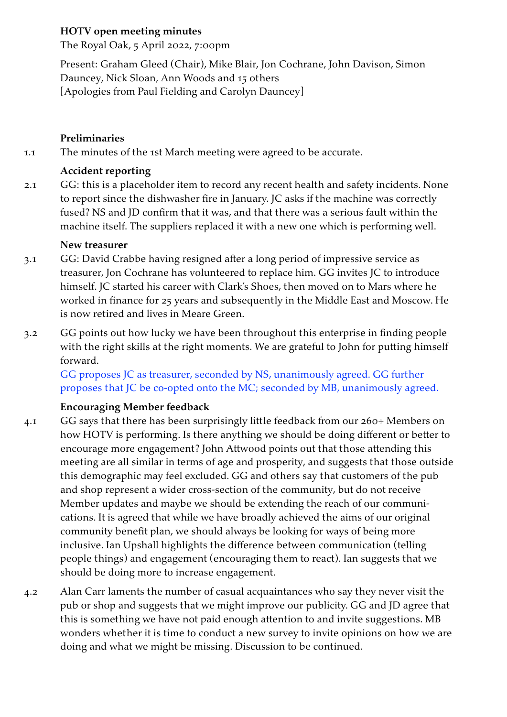### **HOTV open meeting minutes**

The Royal Oak, 5 April 2022, 7:00pm

Present: Graham Gleed (Chair), Mike Blair, Jon Cochrane, John Davison, Simon Dauncey, Nick Sloan, Ann Woods and 15 others [Apologies from Paul Fielding and Carolyn Dauncey]

### **Preliminaries**

1.1 The minutes of the 1st March meeting were agreed to be accurate.

# **Accident reporting**

2.1 GG: this is a placeholder item to record any recent health and safety incidents. None to report since the dishwasher fire in January. JC asks if the machine was correctly fused? NS and JD confirm that it was, and that there was a serious fault within the machine itself. The suppliers replaced it with a new one which is performing well.

### **New treasurer**

- 3.1 GG: David Crabbe having resigned after a long period of impressive service as treasurer, Jon Cochrane has volunteered to replace him. GG invites JC to introduce himself. JC started his career with Clark's Shoes, then moved on to Mars where he worked in finance for 25 years and subsequently in the Middle East and Moscow. He is now retired and lives in Meare Green.
- 3.2 GG points out how lucky we have been throughout this enterprise in finding people with the right skills at the right moments. We are grateful to John for putting himself forward.

GG proposes JC as treasurer, seconded by NS, unanimously agreed. GG further proposes that JC be co-opted onto the MC; seconded by MB, unanimously agreed.

# **Encouraging Member feedback**

- 4.1 GG says that there has been surprisingly little feedback from our 260+ Members on how HOTV is performing. Is there anything we should be doing different or better to encourage more engagement? John Attwood points out that those attending this meeting are all similar in terms of age and prosperity, and suggests that those outside this demographic may feel excluded. GG and others say that customers of the pub and shop represent a wider cross-section of the community, but do not receive Member updates and maybe we should be extending the reach of our communications. It is agreed that while we have broadly achieved the aims of our original community benefit plan, we should always be looking for ways of being more inclusive. Ian Upshall highlights the difference between communication (telling people things) and engagement (encouraging them to react). Ian suggests that we should be doing more to increase engagement.
- 4.2 Alan Carr laments the number of casual acquaintances who say they never visit the pub or shop and suggests that we might improve our publicity. GG and JD agree that this is something we have not paid enough attention to and invite suggestions. MB wonders whether it is time to conduct a new survey to invite opinions on how we are doing and what we might be missing. Discussion to be continued.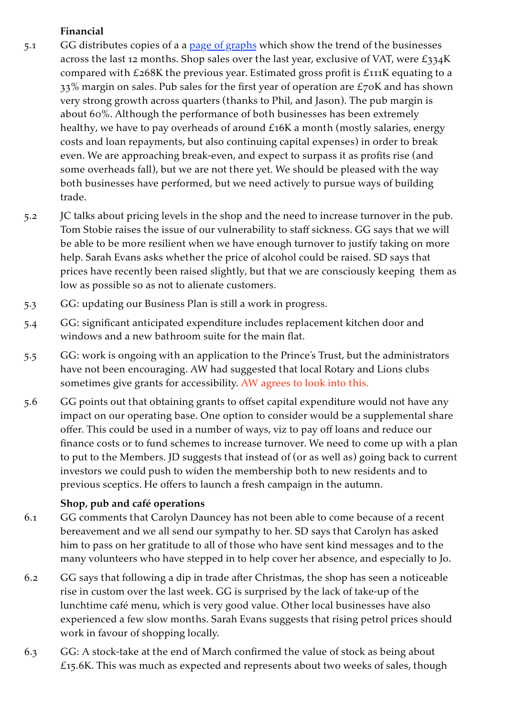# **Financial**

- 5.1 GG distributes copies of a a [page of graphs](https://www.stokestgregory.org/wp-content/uploads/2022/04/Gross-Profit-Tracker-2.pdf) which show the trend of the businesses across the last 12 months. Shop sales over the last year, exclusive of VAT, were  $\pounds_{334}K$ compared with £268K the previous year. Estimated gross profit is £111K equating to a 33% margin on sales. Pub sales for the first year of operation are  $\pounds$ 70K and has shown very strong growth across quarters (thanks to Phil, and Jason). The pub margin is about 60%. Although the performance of both businesses has been extremely healthy, we have to pay overheads of around £16K a month (mostly salaries, energy costs and loan repayments, but also continuing capital expenses) in order to break even. We are approaching break-even, and expect to surpass it as profits rise (and some overheads fall), but we are not there yet. We should be pleased with the way both businesses have performed, but we need actively to pursue ways of building trade.
- 5.2 JC talks about pricing levels in the shop and the need to increase turnover in the pub. Tom Stobie raises the issue of our vulnerability to staff sickness. GG says that we will be able to be more resilient when we have enough turnover to justify taking on more help. Sarah Evans asks whether the price of alcohol could be raised. SD says that prices have recently been raised slightly, but that we are consciously keeping them as low as possible so as not to alienate customers.
- 5.3 GG: updating our Business Plan is still a work in progress.
- 5.4 GG: significant anticipated expenditure includes replacement kitchen door and windows and a new bathroom suite for the main flat.
- 5.5 GG: work is ongoing with an application to the Prince's Trust, but the administrators have not been encouraging. AW had suggested that local Rotary and Lions clubs sometimes give grants for accessibility. AW agrees to look into this.
- 5.6 GG points out that obtaining grants to offset capital expenditure would not have any impact on our operating base. One option to consider would be a supplemental share offer. This could be used in a number of ways, viz to pay off loans and reduce our finance costs or to fund schemes to increase turnover. We need to come up with a plan to put to the Members. JD suggests that instead of (or as well as) going back to current investors we could push to widen the membership both to new residents and to previous sceptics. He offers to launch a fresh campaign in the autumn.

### **Shop, pub and café operations**

- 6.1 GG comments that Carolyn Dauncey has not been able to come because of a recent bereavement and we all send our sympathy to her. SD says that Carolyn has asked him to pass on her gratitude to all of those who have sent kind messages and to the many volunteers who have stepped in to help cover her absence, and especially to Jo.
- 6.2 GG says that following a dip in trade after Christmas, the shop has seen a noticeable rise in custom over the last week. GG is surprised by the lack of take-up of the lunchtime café menu, which is very good value. Other local businesses have also experienced a few slow months. Sarah Evans suggests that rising petrol prices should work in favour of shopping locally.
- 6.3 GG: A stock-take at the end of March confirmed the value of stock as being about £15.6K. This was much as expected and represents about two weeks of sales, though